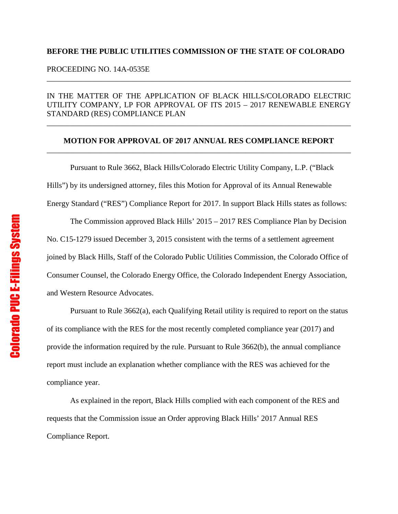## **BEFORE THE PUBLIC UTILITIES COMMISSION OF THE STATE OF COLORADO**

PROCEEDING NO. 14A-0535E

## IN THE MATTER OF THE APPLICATION OF BLACK HILLS/COLORADO ELECTRIC UTILITY COMPANY, LP FOR APPROVAL OF ITS 2015 – 2017 RENEWABLE ENERGY STANDARD (RES) COMPLIANCE PLAN

\_\_\_\_\_\_\_\_\_\_\_\_\_\_\_\_\_\_\_\_\_\_\_\_\_\_\_\_\_\_\_\_\_\_\_\_\_\_\_\_\_\_\_\_\_\_\_\_\_\_\_\_\_\_\_\_\_\_\_\_\_\_\_\_\_\_\_\_\_\_\_\_\_\_\_\_\_\_

\_\_\_\_\_\_\_\_\_\_\_\_\_\_\_\_\_\_\_\_\_\_\_\_\_\_\_\_\_\_\_\_\_\_\_\_\_\_\_\_\_\_\_\_\_\_\_\_\_\_\_\_\_\_\_\_\_\_\_\_\_\_\_\_\_\_\_\_\_\_\_\_\_\_\_\_\_\_

## **MOTION FOR APPROVAL OF 2017 ANNUAL RES COMPLIANCE REPORT** \_\_\_\_\_\_\_\_\_\_\_\_\_\_\_\_\_\_\_\_\_\_\_\_\_\_\_\_\_\_\_\_\_\_\_\_\_\_\_\_\_\_\_\_\_\_\_\_\_\_\_\_\_\_\_\_\_\_\_\_\_\_\_\_\_\_\_\_\_\_\_\_\_\_\_\_\_\_

Pursuant to Rule 3662, Black Hills/Colorado Electric Utility Company, L.P. ("Black Hills") by its undersigned attorney, files this Motion for Approval of its Annual Renewable Energy Standard ("RES") Compliance Report for 2017. In support Black Hills states as follows:

The Commission approved Black Hills' 2015 – 2017 RES Compliance Plan by Decision No. C15-1279 issued December 3, 2015 consistent with the terms of a settlement agreement joined by Black Hills, Staff of the Colorado Public Utilities Commission, the Colorado Office of Consumer Counsel, the Colorado Energy Office, the Colorado Independent Energy Association, and Western Resource Advocates.

Pursuant to Rule 3662(a), each Qualifying Retail utility is required to report on the status of its compliance with the RES for the most recently completed compliance year (2017) and provide the information required by the rule. Pursuant to Rule 3662(b), the annual compliance report must include an explanation whether compliance with the RES was achieved for the compliance year.

As explained in the report, Black Hills complied with each component of the RES and requests that the Commission issue an Order approving Black Hills' 2017 Annual RES Compliance Report.